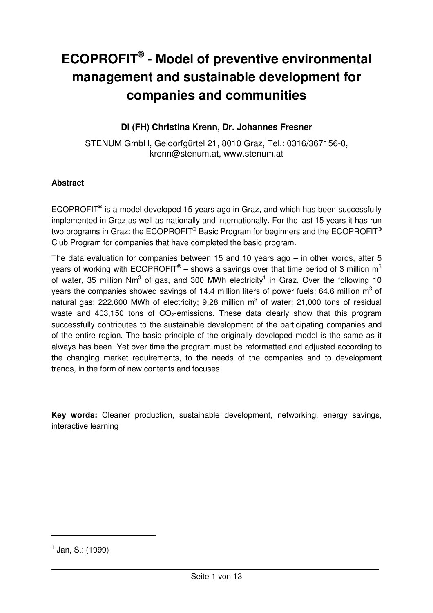# **ECOPROFIT® - Model of preventive environmental management and sustainable development for companies and communities**

# **DI (FH) Christina Krenn, Dr. Johannes Fresner**

STENUM GmbH, Geidorfgürtel 21, 8010 Graz, Tel.: 0316/367156-0, krenn@stenum.at, www.stenum.at

#### **Abstract**

 $ECOPROFIT<sup>®</sup>$  is a model developed 15 years ago in Graz, and which has been successfully implemented in Graz as well as nationally and internationally. For the last 15 years it has run two programs in Graz: the ECOPROFIT® Basic Program for beginners and the ECOPROFIT® Club Program for companies that have completed the basic program.

The data evaluation for companies between 15 and 10 years ago – in other words, after 5 years of working with ECOPROFIT® – shows a savings over that time period of 3 million  $m^3$ of water, 35 million Nm<sup>3</sup> of gas, and 300 MWh electricity<sup>1</sup> in Graz. Over the following 10 years the companies showed savings of 14.4 million liters of power fuels; 64.6 million m<sup>3</sup> of natural gas; 222,600 MWh of electricity; 9.28 million  $m^3$  of water; 21,000 tons of residual waste and 403,150 tons of  $CO<sub>2</sub>$ -emissions. These data clearly show that this program successfully contributes to the sustainable development of the participating companies and of the entire region. The basic principle of the originally developed model is the same as it always has been. Yet over time the program must be reformatted and adjusted according to the changing market requirements, to the needs of the companies and to development trends, in the form of new contents and focuses.

**Key words:** Cleaner production, sustainable development, networking, energy savings, interactive learning

 $\overline{a}$ 

 $^1$  Jan, S.: (1999)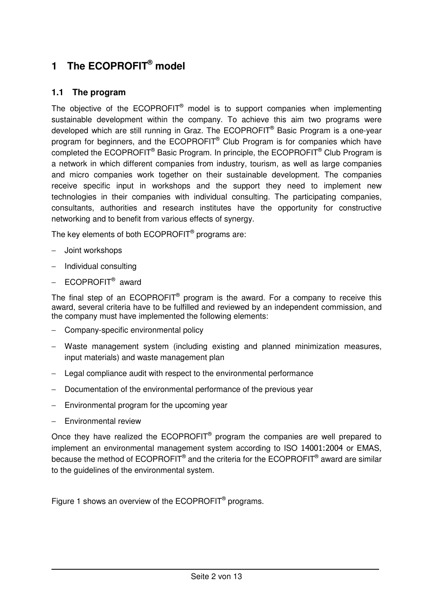# **1 The ECOPROFIT® model**

# **1.1 The program**

The objective of the ECOPROFIT<sup>®</sup> model is to support companies when implementing sustainable development within the company. To achieve this aim two programs were developed which are still running in Graz. The ECOPROFIT<sup>®</sup> Basic Program is a one-year program for beginners, and the ECOPROFIT<sup>®</sup> Club Program is for companies which have completed the ECOPROFIT<sup>®</sup> Basic Program. In principle, the ECOPROFIT<sup>®</sup> Club Program is a network in which different companies from industry, tourism, as well as large companies and micro companies work together on their sustainable development. The companies receive specific input in workshops and the support they need to implement new technologies in their companies with individual consulting. The participating companies, consultants, authorities and research institutes have the opportunity for constructive networking and to benefit from various effects of synergy.

The key elements of both  $\mathsf{ECOPROFIT}^{\circledast}$  programs are:

- − Joint workshops
- − Individual consulting
- − ECOPROFIT<sup>®</sup> award

The final step of an ECOPROFIT<sup>®</sup> program is the award. For a company to receive this award, several criteria have to be fulfilled and reviewed by an independent commission, and the company must have implemented the following elements:

- − Company-specific environmental policy
- − Waste management system (including existing and planned minimization measures, input materials) and waste management plan
- − Legal compliance audit with respect to the environmental performance
- − Documentation of the environmental performance of the previous year
- − Environmental program for the upcoming year
- − Environmental review

Once they have realized the  $ECOPROFIT^{\circledast}$  program the companies are well prepared to implement an environmental management system according to ISO 14001:2004 or EMAS, because the method of ECOPROFIT<sup>®</sup> and the criteria for the ECOPROFIT<sup>®</sup> award are similar to the guidelines of the environmental system.

Figure 1 shows an overview of the ECOPROFIT<sup>®</sup> programs.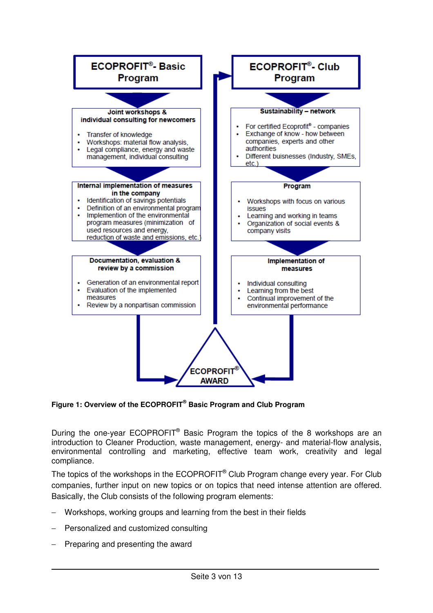

**Figure 1: Overview of the ECOPROFIT® Basic Program and Club Program** 

During the one-year ECOPROFIT<sup>®</sup> Basic Program the topics of the 8 workshops are an introduction to Cleaner Production, waste management, energy- and material-flow analysis, environmental controlling and marketing, effective team work, creativity and legal compliance.

The topics of the workshops in the ECOPROFIT<sup>®</sup> Club Program change every year. For Club companies, further input on new topics or on topics that need intense attention are offered. Basically, the Club consists of the following program elements:

- Workshops, working groups and learning from the best in their fields
- − Personalized and customized consulting
- Preparing and presenting the award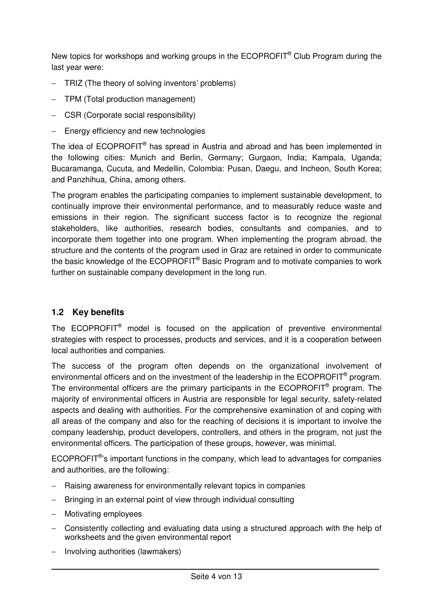New topics for workshops and working groups in the  $\mathsf{ECOPROFIT}^{\circledcirc}$  Club Program during the last year were:

- − TRIZ (The theory of solving inventors' problems)
- − TPM (Total production management)
- − CSR (Corporate social responsibility)
- − Energy efficiency and new technologies

The idea of ECOPROFIT<sup>®</sup> has spread in Austria and abroad and has been implemented in the following cities: Munich and Berlin, Germany; Gurgaon, India; Kampala, Uganda; Bucaramanga, Cucuta, and Medellin, Colombia: Pusan, Daegu, and Incheon, South Korea; and Panzhihua, China, among others.

The program enables the participating companies to implement sustainable development, to continually improve their environmental performance, and to measurably reduce waste and emissions in their region. The significant success factor is to recognize the regional stakeholders, like authorities, research bodies, consultants and companies, and to incorporate them together into one program. When implementing the program abroad, the structure and the contents of the program used in Graz are retained in order to communicate the basic knowledge of the ECOPROFIT<sup>®</sup> Basic Program and to motivate companies to work further on sustainable company development in the long run.

# **1.2 Key benefits**

The ECOPROFIT<sup>®</sup> model is focused on the application of preventive environmental strategies with respect to processes, products and services, and it is a cooperation between local authorities and companies.

The success of the program often depends on the organizational involvement of environmental officers and on the investment of the leadership in the ECOPROFIT<sup>®</sup> program. The environmental officers are the primary participants in the  $ECOPROFIT<sup>®</sup>$  program. The majority of environmental officers in Austria are responsible for legal security, safety-related aspects and dealing with authorities. For the comprehensive examination of and coping with all areas of the company and also for the reaching of decisions it is important to involve the company leadership, product developers, controllers, and others in the program, not just the environmental officers. The participation of these groups, however, was minimal.

ECOPROFIT<sup>®</sup>'s important functions in the company, which lead to advantages for companies and authorities, are the following:

- − Raising awareness for environmentally relevant topics in companies
- Bringing in an external point of view through individual consulting
- − Motivating employees
- − Consistently collecting and evaluating data using a structured approach with the help of worksheets and the given environmental report
- − Involving authorities (lawmakers)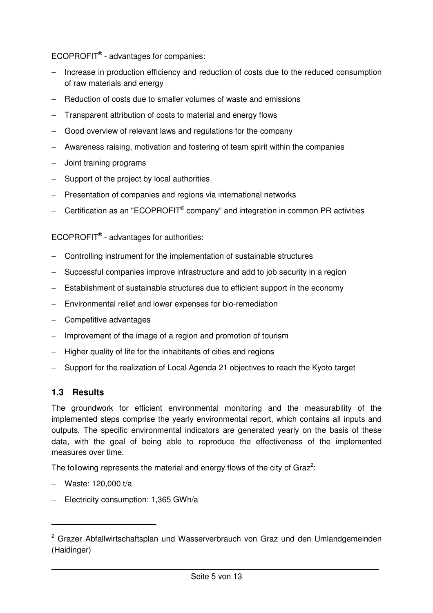$ECOPROFIT<sup>®</sup> - advantages for companies:$ 

- − Increase in production efficiency and reduction of costs due to the reduced consumption of raw materials and energy
- − Reduction of costs due to smaller volumes of waste and emissions
- − Transparent attribution of costs to material and energy flows
- − Good overview of relevant laws and regulations for the company
- − Awareness raising, motivation and fostering of team spirit within the companies
- − Joint training programs
- − Support of the project by local authorities
- − Presentation of companies and regions via international networks
- − Certification as an "ECOPROFIT<sup>®</sup> company" and integration in common PR activities

ECOPROFIT<sup>®</sup> - advantages for authorities:

- − Controlling instrument for the implementation of sustainable structures
- − Successful companies improve infrastructure and add to job security in a region
- − Establishment of sustainable structures due to efficient support in the economy
- − Environmental relief and lower expenses for bio-remediation
- − Competitive advantages
- − Improvement of the image of a region and promotion of tourism
- − Higher quality of life for the inhabitants of cities and regions
- − Support for the realization of Local Agenda 21 objectives to reach the Kyoto target

### **1.3 Results**

The groundwork for efficient environmental monitoring and the measurability of the implemented steps comprise the yearly environmental report, which contains all inputs and outputs. The specific environmental indicators are generated yearly on the basis of these data, with the goal of being able to reproduce the effectiveness of the implemented measures over time.

The following represents the material and energy flows of the city of Graz<sup>2</sup>:

− Waste: 120,000 t/a

− Electricity consumption: 1,365 GWh/a

<sup>&</sup>lt;sup>2</sup> Grazer Abfallwirtschaftsplan und Wasserverbrauch von Graz und den Umlandgemeinden (Haidinger)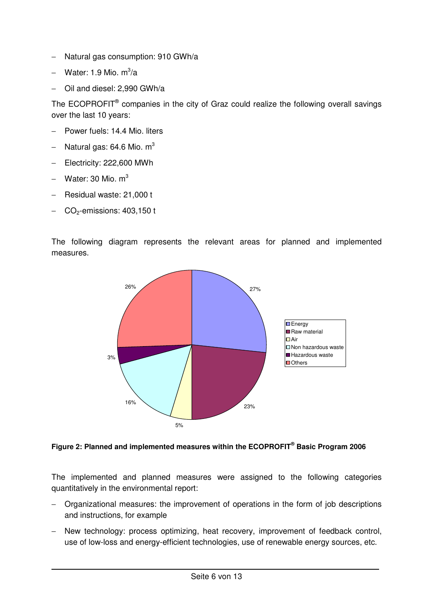- − Natural gas consumption: 910 GWh/a
- − Water: 1.9 Mio. m<sup>3</sup>/a
- − Oil and diesel: 2,990 GWh/a

The ECOPROFIT<sup>®</sup> companies in the city of Graz could realize the following overall savings over the last 10 years:

- − Power fuels: 14.4 Mio. liters
- $-$  Natural gas: 64.6 Mio. m<sup>3</sup>
- − Electricity: 222,600 MWh
- $-$  Water: 30 Mio. m<sup>3</sup>
- − Residual waste: 21,000 t
- − CO2-emissions: 403,150 t

The following diagram represents the relevant areas for planned and implemented measures.



**Figure 2: Planned and implemented measures within the ECOPROFIT® Basic Program 2006** 

The implemented and planned measures were assigned to the following categories quantitatively in the environmental report:

- − Organizational measures: the improvement of operations in the form of job descriptions and instructions, for example
- New technology: process optimizing, heat recovery, improvement of feedback control, use of low-loss and energy-efficient technologies, use of renewable energy sources, etc.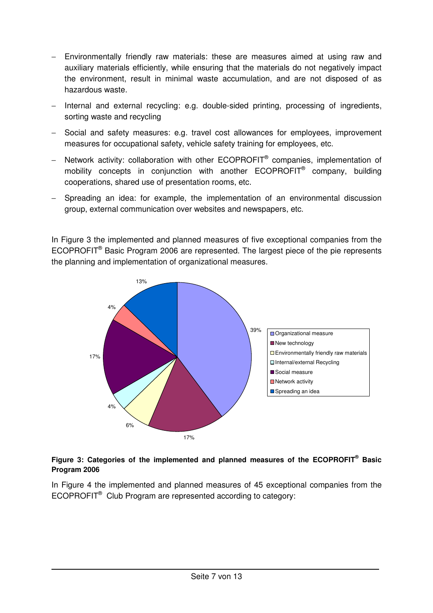- Environmentally friendly raw materials: these are measures aimed at using raw and auxiliary materials efficiently, while ensuring that the materials do not negatively impact the environment, result in minimal waste accumulation, and are not disposed of as hazardous waste.
- − Internal and external recycling: e.g. double-sided printing, processing of ingredients, sorting waste and recycling
- − Social and safety measures: e.g. travel cost allowances for employees, improvement measures for occupational safety, vehicle safety training for employees, etc.
- − Network activity: collaboration with other ECOPROFIT<sup>®</sup> companies, implementation of mobility concepts in conjunction with another ECOPROFIT<sup>®</sup> company, building cooperations, shared use of presentation rooms, etc.
- − Spreading an idea: for example, the implementation of an environmental discussion group, external communication over websites and newspapers, etc.

In Figure 3 the implemented and planned measures of five exceptional companies from the ECOPROFIT<sup>®</sup> Basic Program 2006 are represented. The largest piece of the pie represents the planning and implementation of organizational measures.



#### **Figure 3: Categories of the implemented and planned measures of the ECOPROFIT® Basic Program 2006**

In Figure 4 the implemented and planned measures of 45 exceptional companies from the ECOPROFIT<sup>®</sup> Club Program are represented according to category: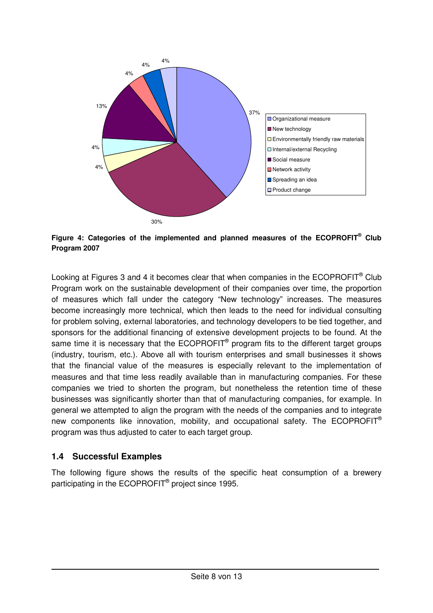

**Figure 4: Categories of the implemented and planned measures of the ECOPROFIT® Club Program 2007** 

Looking at Figures 3 and 4 it becomes clear that when companies in the ECOPROFIT<sup>®</sup> Club Program work on the sustainable development of their companies over time, the proportion of measures which fall under the category "New technology" increases. The measures become increasingly more technical, which then leads to the need for individual consulting for problem solving, external laboratories, and technology developers to be tied together, and sponsors for the additional financing of extensive development projects to be found. At the same time it is necessary that the ECOPROFIT<sup>®</sup> program fits to the different target groups (industry, tourism, etc.). Above all with tourism enterprises and small businesses it shows that the financial value of the measures is especially relevant to the implementation of measures and that time less readily available than in manufacturing companies. For these companies we tried to shorten the program, but nonetheless the retention time of these businesses was significantly shorter than that of manufacturing companies, for example. In general we attempted to align the program with the needs of the companies and to integrate new components like innovation, mobility, and occupational safety. The ECOPROFIT® program was thus adjusted to cater to each target group.

### **1.4 Successful Examples**

The following figure shows the results of the specific heat consumption of a brewery participating in the ECOPROFIT<sup>®</sup> project since 1995.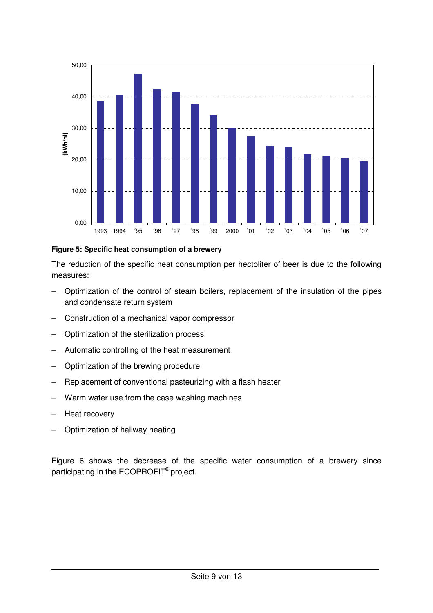

#### **Figure 5: Specific heat consumption of a brewery**

The reduction of the specific heat consumption per hectoliter of beer is due to the following measures:

- − Optimization of the control of steam boilers, replacement of the insulation of the pipes and condensate return system
- − Construction of a mechanical vapor compressor
- − Optimization of the sterilization process
- Automatic controlling of the heat measurement
- − Optimization of the brewing procedure
- − Replacement of conventional pasteurizing with a flash heater
- Warm water use from the case washing machines
- − Heat recovery
- − Optimization of hallway heating

Figure 6 shows the decrease of the specific water consumption of a brewery since participating in the ECOPROFIT® project.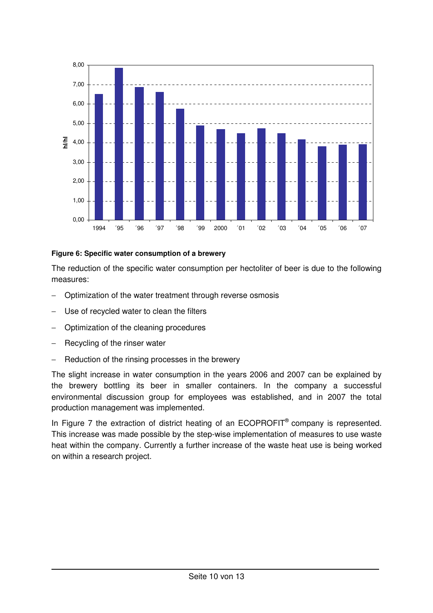

#### **Figure 6: Specific water consumption of a brewery**

The reduction of the specific water consumption per hectoliter of beer is due to the following measures:

- − Optimization of the water treatment through reverse osmosis
- Use of recycled water to clean the filters
- − Optimization of the cleaning procedures
- Recycling of the rinser water
- Reduction of the rinsing processes in the brewery

The slight increase in water consumption in the years 2006 and 2007 can be explained by the brewery bottling its beer in smaller containers. In the company a successful environmental discussion group for employees was established, and in 2007 the total production management was implemented.

In Figure 7 the extraction of district heating of an ECOPROFIT<sup>®</sup> company is represented. This increase was made possible by the step-wise implementation of measures to use waste heat within the company. Currently a further increase of the waste heat use is being worked on within a research project.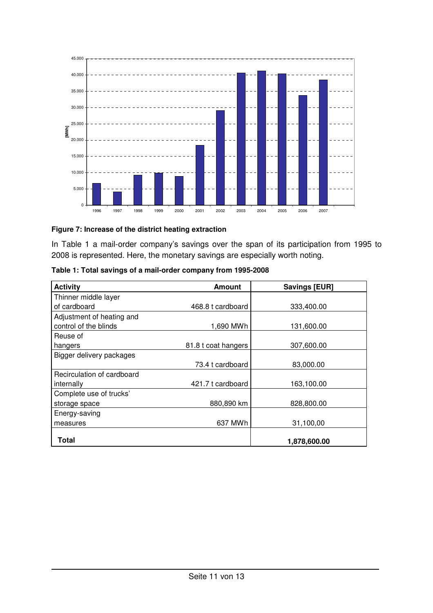

#### **Figure 7: Increase of the district heating extraction**

In Table 1 a mail-order company's savings over the span of its participation from 1995 to 2008 is represented. Here, the monetary savings are especially worth noting.

| Table 1: Total savings of a mail-order company from 1995-2008 |  |  |
|---------------------------------------------------------------|--|--|
|                                                               |  |  |

| <b>Activity</b>            | <b>Amount</b>       | <b>Savings [EUR]</b> |
|----------------------------|---------------------|----------------------|
| Thinner middle layer       |                     |                      |
| of cardboard               | 468.8 t cardboard   | 333,400.00           |
| Adjustment of heating and  |                     |                      |
| control of the blinds      | 1,690 MWh           | 131,600.00           |
| Reuse of                   |                     |                      |
| hangers                    | 81.8 t coat hangers | 307,600.00           |
| Bigger delivery packages   |                     |                      |
|                            | 73.4 t cardboard    | 83,000.00            |
| Recirculation of cardboard |                     |                      |
| internally                 | 421.7 t cardboard   | 163,100.00           |
| Complete use of trucks'    |                     |                      |
| storage space              | 880,890 km          | 828,800.00           |
| Energy-saving              |                     |                      |
| measures                   | 637 MWh             | 31,100,00            |
| Total                      |                     | 1,878,600.00         |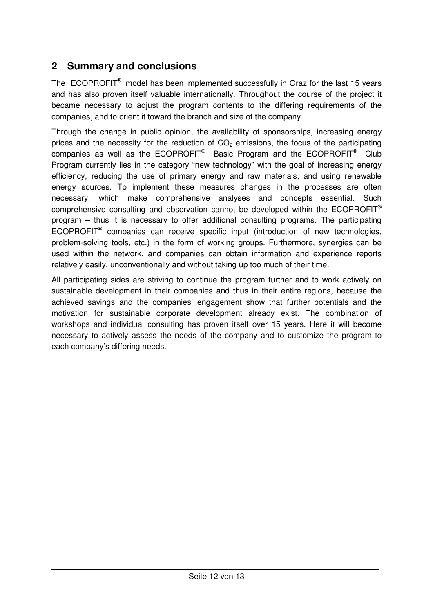# **2 Summary and conclusions**

The ECOPROFIT® model has been implemented successfully in Graz for the last 15 years and has also proven itself valuable internationally. Throughout the course of the project it became necessary to adjust the program contents to the differing requirements of the companies, and to orient it toward the branch and size of the company.

Through the change in public opinion, the availability of sponsorships, increasing energy prices and the necessity for the reduction of  $CO<sub>2</sub>$  emissions, the focus of the participating companies as well as the ECOPROFIT® Basic Program and the ECOPROFIT® Club Program currently lies in the category "new technology" with the goal of increasing energy efficiency, reducing the use of primary energy and raw materials, and using renewable energy sources. To implement these measures changes in the processes are often necessary, which make comprehensive analyses and concepts essential. Such comprehensive consulting and observation cannot be developed within the ECOPROFIT® program – thus it is necessary to offer additional consulting programs. The participating ECOPROFIT<sup>®</sup> companies can receive specific input (introduction of new technologies, problem-solving tools, etc.) in the form of working groups. Furthermore, synergies can be used within the network, and companies can obtain information and experience reports relatively easily, unconventionally and without taking up too much of their time.

All participating sides are striving to continue the program further and to work actively on sustainable development in their companies and thus in their entire regions, because the achieved savings and the companies' engagement show that further potentials and the motivation for sustainable corporate development already exist. The combination of workshops and individual consulting has proven itself over 15 years. Here it will become necessary to actively assess the needs of the company and to customize the program to each company's differing needs.